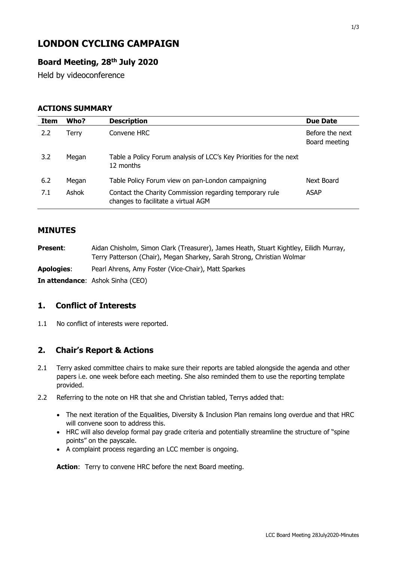# **LONDON CYCLING CAMPAIGN**

## **Board Meeting, 28th July 2020**

Held by videoconference

#### **ACTIONS SUMMARY**

| Item | Who?  | <b>Description</b>                                                                             | <b>Due Date</b>                  |
|------|-------|------------------------------------------------------------------------------------------------|----------------------------------|
| 2.2  | Terrv | Convene HRC                                                                                    | Before the next<br>Board meeting |
| 3.2  | Megan | Table a Policy Forum analysis of LCC's Key Priorities for the next<br>12 months                |                                  |
| 6.2  | Megan | Table Policy Forum view on pan-London campaigning                                              | Next Board                       |
| 7.1  | Ashok | Contact the Charity Commission regarding temporary rule<br>changes to facilitate a virtual AGM | <b>ASAP</b>                      |

### **MINUTES**

| <b>Present:</b> | Aidan Chisholm, Simon Clark (Treasurer), James Heath, Stuart Kightley, Eilidh Murray, |
|-----------------|---------------------------------------------------------------------------------------|
|                 | Terry Patterson (Chair), Megan Sharkey, Sarah Strong, Christian Wolmar                |

**Apologies**: Pearl Ahrens, Amy Foster (Vice-Chair), Matt Sparkes

**In attendance**: Ashok Sinha (CEO)

#### **1. Conflict of Interests**

1.1 No conflict of interests were reported.

#### **2. Chair's Report & Actions**

- 2.1 Terry asked committee chairs to make sure their reports are tabled alongside the agenda and other papers i.e. one week before each meeting. She also reminded them to use the reporting template provided.
- 2.2 Referring to the note on HR that she and Christian tabled, Terrys added that:
	- The next iteration of the Equalities, Diversity & Inclusion Plan remains long overdue and that HRC will convene soon to address this.
	- HRC will also develop formal pay grade criteria and potentially streamline the structure of "spine points" on the payscale.
	- A complaint process regarding an LCC member is ongoing.

Action: Terry to convene HRC before the next Board meeting.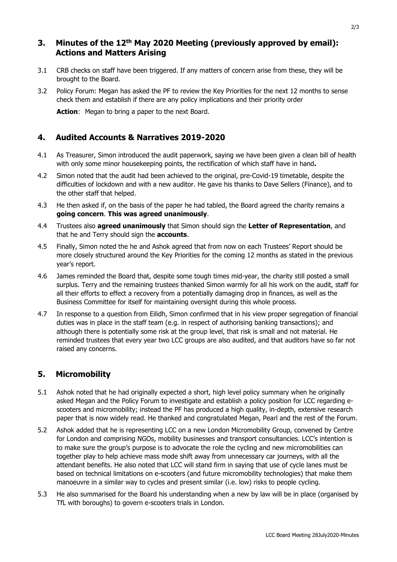### **3. Minutes of the 12th May 2020 Meeting (previously approved by email): Actions and Matters Arising**

- 3.1 CRB checks on staff have been triggered. If any matters of concern arise from these, they will be brought to the Board.
- 3.2 Policy Forum: Megan has asked the PF to review the Key Priorities for the next 12 months to sense check them and establish if there are any policy implications and their priority order

Action: Megan to bring a paper to the next Board.

#### **4. Audited Accounts & Narratives 2019-2020**

- 4.1 As Treasurer, Simon introduced the audit paperwork, saying we have been given a clean bill of health with only some minor housekeeping points, the rectification of which staff have in hand**.**
- 4.2 Simon noted that the audit had been achieved to the original, pre-Covid-19 timetable, despite the difficulties of lockdown and with a new auditor. He gave his thanks to Dave Sellers (Finance), and to the other staff that helped.
- 4.3 He then asked if, on the basis of the paper he had tabled, the Board agreed the charity remains a **going concern**. **This was agreed unanimously**.
- 4.4 Trustees also **agreed unanimously** that Simon should sign the **Letter of Representation**, and that he and Terry should sign the **accounts**.
- 4.5 Finally, Simon noted the he and Ashok agreed that from now on each Trustees' Report should be more closely structured around the Key Priorities for the coming 12 months as stated in the previous year's report.
- 4.6 James reminded the Board that, despite some tough times mid-year, the charity still posted a small surplus. Terry and the remaining trustees thanked Simon warmly for all his work on the audit, staff for all their efforts to effect a recovery from a potentially damaging drop in finances, as well as the Business Committee for itself for maintaining oversight during this whole process.
- 4.7 In response to a question from Eilidh, Simon confirmed that in his view proper segregation of financial duties was in place in the staff team (e.g. in respect of authorising banking transactions); and although there is potentially some risk at the group level, that risk is small and not material. He reminded trustees that every year two LCC groups are also audited, and that auditors have so far not raised any concerns.

## **5. Micromobility**

- 5.1 Ashok noted that he had originally expected a short, high level policy summary when he originally asked Megan and the Policy Forum to investigate and establish a policy position for LCC regarding escooters and micromobility; instead the PF has produced a high quality, in-depth, extensive research paper that is now widely read. He thanked and congratulated Megan, Pearl and the rest of the Forum.
- 5.2 Ashok added that he is representing LCC on a new London Micromobility Group, convened by Centre for London and comprising NGOs, mobility businesses and transport consultancies. LCC's intention is to make sure the group's purpose is to advocate the role the cycling and new micromobilities can together play to help achieve mass mode shift away from unnecessary car journeys, with all the attendant benefits. He also noted that LCC will stand firm in saying that use of cycle lanes must be based on technical limitations on e-scooters (and future micromobility technologies) that make them manoeuvre in a similar way to cycles and present similar (i.e. low) risks to people cycling.
- 5.3 He also summarised for the Board his understanding when a new by law will be in place (organised by TfL with boroughs) to govern e-scooters trials in London.